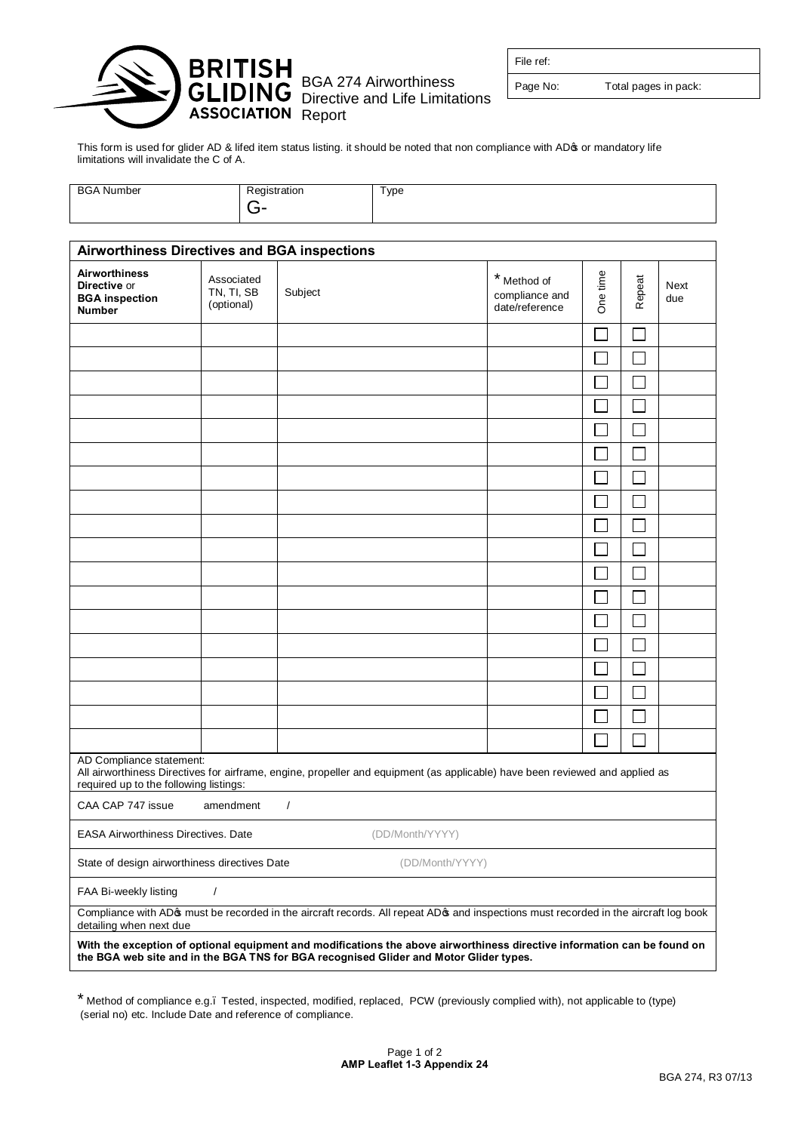

BGA 274 Airworthiness Directive and Life Limitations File ref:

Page No: Total pages in pack:

This form is used for glider AD & lifed item status listing. it should be noted that non compliance with AD& or mandatory life limitations will invalidate the C of A.

| <b>BGA Number</b> | ∾edistration  | Type |
|-------------------|---------------|------|
|                   | . .<br>╌<br>- |      |

| <b>Airworthiness Directives and BGA inspections</b>                                                                                                                                                               |                                        |          |                 |                                                 |          |        |             |  |  |
|-------------------------------------------------------------------------------------------------------------------------------------------------------------------------------------------------------------------|----------------------------------------|----------|-----------------|-------------------------------------------------|----------|--------|-------------|--|--|
| <b>Airworthiness</b><br>Directive or<br><b>BGA</b> inspection<br><b>Number</b>                                                                                                                                    | Associated<br>TN, TI, SB<br>(optional) | Subject  |                 | * Method of<br>compliance and<br>date/reference | One time | Repeat | Next<br>due |  |  |
|                                                                                                                                                                                                                   |                                        |          |                 |                                                 |          |        |             |  |  |
|                                                                                                                                                                                                                   |                                        |          |                 |                                                 |          |        |             |  |  |
|                                                                                                                                                                                                                   |                                        |          |                 |                                                 |          |        |             |  |  |
|                                                                                                                                                                                                                   |                                        |          |                 |                                                 |          |        |             |  |  |
|                                                                                                                                                                                                                   |                                        |          |                 |                                                 |          |        |             |  |  |
|                                                                                                                                                                                                                   |                                        |          |                 |                                                 |          |        |             |  |  |
|                                                                                                                                                                                                                   |                                        |          |                 |                                                 |          |        |             |  |  |
|                                                                                                                                                                                                                   |                                        |          |                 |                                                 |          |        |             |  |  |
|                                                                                                                                                                                                                   |                                        |          |                 |                                                 |          |        |             |  |  |
|                                                                                                                                                                                                                   |                                        |          |                 |                                                 |          |        |             |  |  |
|                                                                                                                                                                                                                   |                                        |          |                 |                                                 |          |        |             |  |  |
|                                                                                                                                                                                                                   |                                        |          |                 |                                                 |          |        |             |  |  |
|                                                                                                                                                                                                                   |                                        |          |                 |                                                 |          |        |             |  |  |
|                                                                                                                                                                                                                   |                                        |          |                 |                                                 |          |        |             |  |  |
|                                                                                                                                                                                                                   |                                        |          |                 |                                                 |          |        |             |  |  |
|                                                                                                                                                                                                                   |                                        |          |                 |                                                 |          |        |             |  |  |
|                                                                                                                                                                                                                   |                                        |          |                 |                                                 |          |        |             |  |  |
|                                                                                                                                                                                                                   |                                        |          |                 |                                                 |          |        |             |  |  |
| AD Compliance statement:<br>All airworthiness Directives for airframe, engine, propeller and equipment (as applicable) have been reviewed and applied as<br>required up to the following listings:                |                                        |          |                 |                                                 |          |        |             |  |  |
| CAA CAP 747 issue                                                                                                                                                                                                 | amendment                              | $\prime$ |                 |                                                 |          |        |             |  |  |
| <b>EASA Airworthiness Directives. Date</b>                                                                                                                                                                        |                                        |          | (DD/Month/YYYY) |                                                 |          |        |             |  |  |
| State of design airworthiness directives Date                                                                                                                                                                     |                                        |          | (DD/Month/YYYY) |                                                 |          |        |             |  |  |
| FAA Bi-weekly listing                                                                                                                                                                                             | $\prime$                               |          |                 |                                                 |          |        |             |  |  |
| Compliance with AD pmust be recorded in the aircraft records. All repeat AD pand inspections must recorded in the aircraft log book<br>detailing when next due                                                    |                                        |          |                 |                                                 |          |        |             |  |  |
| With the exception of optional equipment and modifications the above airworthiness directive information can be found on<br>the BGA web site and in the BGA TNS for BGA recognised Glider and Motor Glider types. |                                        |          |                 |                                                 |          |        |             |  |  |

\* Method of compliance e.g.– Tested, inspected, modified, replaced, PCW (previously complied with), not applicable to (type) (serial no) etc. Include Date and reference of compliance.